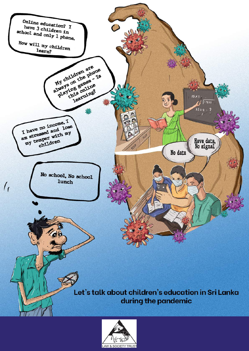

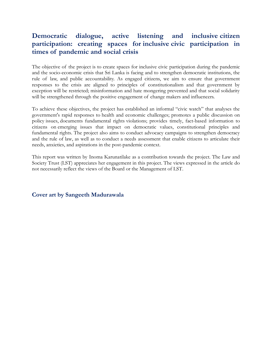# **Democratic dialogue, active listening and inclusive citizen participation: creating spaces for inclusive civic participation in times of pandemic and social crisis**

The objective of the project is to create spaces for inclusive civic participation during the pandemic and the socio-economic crisis that Sri Lanka is facing and to strengthen democratic institutions, the rule of law, and public accountability. As engaged citizens, we aim to ensure that government responses to the crisis are aligned to principles of constitutionalism and that government by exception will be restricted; misinformation and hate mongering prevented and that social solidarity will be strengthened through the positive engagement of change makers and influencers.

To achieve these objectives, the project has established an informal "civic watch" that analyses the government's rapid responses to health and economic challenges; promotes a public discussion on policy issues, documents fundamental rights violations; provides timely, fact-based information to citizens on emerging issues that impact on democratic values, constitutional principles and fundamental rights. The project also aims to conduct advocacy campaigns to strengthen democracy and the rule of law, as well as to conduct a needs assessment that enable citizens to articulate their needs, anxieties, and aspirations in the post-pandemic context.

This report was written by Inoma Karunatilake as a contribution towards the project. The Law and Society Trust (LST) appreciates her engagement in this project. The views expressed in the article do not necessarily reflect the views of the Board or the Management of LST.

**Cover art by Sangeeth Madurawala**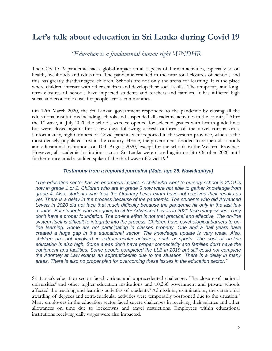# **Let's talk about education in Sri Lanka during Covid 19**

*"Education is a fundamental human right"-UNDHR*

The COVID-19 pandemic had a global impact on all aspects of human activities, especially so on health, livelihoods and education. The pandemic resulted in the near-total closures of schools and this has greatly disadvantaged children. Schools are not only the arena for learning. It is the place where children interact with other children and develop their social skills.<sup>1</sup> The temporary and longterm closures of schools have impacted students and teachers and families. It has inflicted high social and economic costs for people across communities.

On 12th March 2020, the Sri Lankan government responded to the pandemic by closing all the educational institutions including schools and suspended all academic activities in the country.<sup>2</sup> After the  $1<sup>st</sup>$  wave, in July 2020 the schools were re-opened for selected grades with health guide lines but were closed again after a few days following a fresh outbreak of the novel corona-virus. Unfortunately, high numbers of Covid patients were reported in the western province, which is the most densely populated area in the country. Hence, the government decided to reopen all schools and educational institutions on 10th August 2020,<sup>3</sup> except for the schools in the Western Province. However, all academic institutions across Sri Lanka were closed again on 5th October 2020 until further notice amid a sudden spike of the third wave ofCovid-19.<sup>4</sup>

#### *Testimony from a regional journalist (Male, age 25, Nawalapitiya)*

*"The education sector has an enormous impact. A child who went to nursery school in 2019 is now in grade 1 or 2. Children who are in grade 5 now were not able to gather knowledge from grade 4. Also, students who took the Ordinary Level exam have not received their results as yet. There is a delay in the process because of the pandemic. The students who did Advanced Levels in 2020 did not face that much difficulty because the pandemic hit only in the last few months. But students who are going to sit for Advanced Levels in 2021 face many issues. They don't have a proper foundation. The on-line effort is not that practical and effective. The on-line system itself is difficult to integrate into the process. Children have psychological barriers to online learning. Some are not participating in classes properly. One and a half years have created a huge gap in the educational sector. The knowledge update is very weak. Also, children are not involved in extracurricular activities, such as sports. The cost of on-line education is also high. Some areas don't have proper connectivity and families don't have the equipment and facilities. Some people completed the LLB in 2019 but still could not complete the Attorney at Law exams an apprenticeship due to the situation. There is a delay in many areas. There is also no proper plan for overcoming these issues in the education sector."*

Sri Lanka's education sector faced various and unprecedented challenges. The closure of national universities<sup>5</sup> and other higher education institutions and 10,266 government and private schools affected the teaching and learning activities of students.<sup>6</sup> Admissions, examinations, the ceremonial awarding of degrees and extra-curricular activities were temporarily postponed due to the situation.<sup>7</sup> Many employees in the education sector faced severe challenges in receiving their salaries and other allowances on time due to lockdowns and travel restrictions. Employees within educational institutions receiving daily wages were also impacted.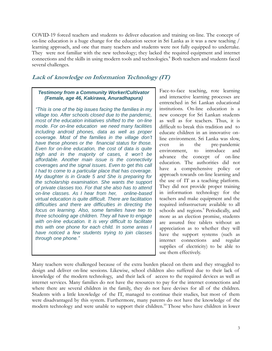COVID-19 forced teachers and students to deliver education and training on-line. The concept of on-line education is a huge change for the education sector in Sri Lanka as it was a new teaching / learning approach, and one that many teachers and students were not fully equipped to undertake. They were not familiar with the new technology; they lacked the required equipment and internet connections and the skills in using modern tools and technologies.<sup>8</sup> Both teachers and students faced several challenges.

### **Lack of knowledge on Information Technology (IT)**

#### *Testimony from a Community Worker/Cultivator (Female, age 46, Kakirawa, Anuradhapura)*

*"This is one of the big issues facing the families in my village too. After schools closed due to the pandemic, most of the education initiatives shifted to the on-line mode. For on-line education we need many facilities including android phones, data as well as proper coverage. Most of the families in the village don't have these phones or the financial status for those. Even for on-line education, the cost of data is quite high and in the majority of cases, it won't be affordable. Another main issue is the connectivity coverages and the signal issues. Even to get this call I had to come to a particular place that has coverage. My daughter is in Grade 5 and She is preparing for the scholarship examination. She wants the support of private classes too. For that she also has to attend on-line classes. As I hear from her, online-based virtual education is quite difficult. There are facilitation difficulties and there are difficulties in directing the focus on learning. Also, some families have two to three schooling age children. They all have to engage with on-line education. It is very difficult to facilitate this with one phone for each child. In some areas I have noticed a few students trying to join classes through one phone."*

Face-to-face teaching, rote learning and interactive learning processes are entrenched in Sri Lankan educational institutions. On-line education is a new concept for Sri Lankan students as well as for teachers. Thus, it is difficult to break this tradition and to educate children in an innovative online environment. Sri Lanka was slow, even in the pre-pandemic environment, to introduce and advance the concept of on-line education. The authorities did not have a comprehensive policy or approach towards on-line learning and the use of IT as a teaching platform. They did not provide proper training in information technology for the teachers and make equipment and the required infrastructure available to all schools and regions.<sup>9</sup> Periodically, and more as an election promise, students are assured free tablets without an appreciation as to whether they will have the support systems (such as internet connections and regular supplies of electricity) to be able to use them effectively.

Many teachers were challenged because of the extra burden placed on them and they struggled to design and deliver on-line sessions. Likewise, school children also suffered due to their lack of knowledge of the modern technology, and their lack of access to the required devices as well as internet services. Many families do not have the resources to pay for the internet connections and where there are several children in the family, they do not have devises for all of the children. Students with a little knowledge of the IT, managed to continue their studies, but most of them were disadvantaged by this system. Furthermore, many parents do not have the knowledge of the modern technology and were unable to support their children.<sup>10</sup> Those who have children in lower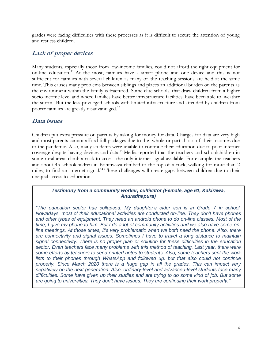grades were facing difficulties with these processes as it is difficult to secure the attention of young and restless children.

### **Lack of proper devices**

Many students, especially those from low-income families, could not afford the right equipment for on-line education. <sup>11</sup> At the most, families have a smart phone and one device and this is not sufficient for families with several children as many of the teaching sessions are held at the same time. This causes many problems between siblings and places an additional burden on the parents as the environment within the family is fractured. Some elite schools, that draw children from a higher socio-income level and where families have better infrastructure facilities, have been able to 'weather the storm.' But the less-privileged schools with limited infrastructure and attended by children from poorer families are greatly disadvantaged.<sup>12</sup>

### **Data issues**

Children put extra pressure on parents by asking for money for data. Charges for data are very high and most parents cannot afford full packages due to the whole or partial loss of their incomes due to the pandemic. Also, many students were unable to continue their education due to poor internet coverage despite having devices and data.<sup>13</sup> Media reported that the teachers and schoolchildren in some rural areas climb a rock to access the only internet signal available. For example, the teachers and about 45 schoolchildren in Bohitiwaya climbed to the top of a rock, walking for more than 2 miles, to find an internet signal.<sup>14</sup> These challenges will create gaps between children due to their unequal access to education.

*Testimony from a community worker, cultivator (Female, age 61, Kakirawa, Anuradhapura)*

*"The education sector has collapsed. My daughter's elder son is in Grade 7 in school. Nowadays, most of their educational activities are conducted on-line. They don't have phones and other types of equipment. They need an android phone to do on-line classes. Most of the time, I give my phone to him. But I do a lot of community activities and we also have some online meetings. At those times, it's very problematic when we both need the phone. Also, there are connectivity and signal issues. Sometimes I have to travel a long distance to maintain signal connectivity. There is no proper plan or solution for these difficulties in the education sector. Even teachers face many problems with this method of teaching. Last year, there were some efforts by teachers to send printed notes to students. Also, some teachers sent the work lists to their phones through WhatsApp and followed up. but that also could not continue properly. Since March 2020 there is a huge gap in all the grades. This can impact very negatively on the next generation. Also, ordinary-level and advanced-level students face many difficulties. Some have given up their studies and are trying to do some kind of job. But some are going to universities. They don't have issues. They are continuing their work properly."*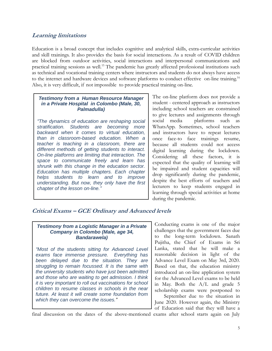### **Learning limitations**

Education is a broad concept that includes cognitive and analytical skills, extra-curricular activities and skill trainings. It also provides the basis for social interactions. As a result of COVID children are blocked from outdoor activities, social interactions and interpersonal communications and practical training sessions as well.<sup>15</sup> The pandemic has greatly affected professional institutions such as technical and vocational training centers where instructors and students do not always have access to the internet and hardware devices and software platforms to conduct effective on-line training.<sup>16</sup> Also, it is very difficult, if not impossible to provide practical training on-line.

#### *Testimony from a Human Resource Manager in a Private Hospital in Colombo (Male, 30, Palmadulla)*

*"The dynamics of education are reshaping social stratification. Students are becoming more backward when it comes to virtual education, than in classroom-based education. When a teacher is teaching in a classroom, there are different methods of getting students to interact. On-line platforms are limiting that interaction. The space to communicate freely and learn has shrunk with this change in the education sector. Education has multiple chapters. Each chapter helps students to learn and to improve understanding. But now, they only have the first chapter of the lesson on-line."*

The on-line platform does not provide a student - centered approach as instructors including school teachers are constrained to give lectures and assignments through social media platforms such as WhatsApp. Sometimes, school teachers and instructors have to repeat lectures once face-to face trainings resume, because all students could not access digital learning during the lockdown. Considering all these factors, it is expected that the quality of learning will be impaired and student capacities will drop significantly during the pandemic, despite the best efforts of teachers and lecturers to keep students engaged in learning through special activities at home during the pandemic.

### **Critical Exams – GCE Ordinary and Advanced levels**

#### *Testimony from a Logistic Manager in a Private Company in Colombo (Male, age 34, Bandarawela)*

*"Most of the students sitting for Advanced Level exams face immense pressure. Everything has been delayed due to the situation. They are struggling to remain focussed. It is the same with the university students who have just been admitted and those who are waiting to get admission. I think it is very important to roll out vaccinations for school children to resume classes in schools in the near future. At least it will create some foundation from which they can overcome the issues."*

Conducting exams is one of the major challenges that the government faces due to the long-term lockdown. Sanath Pujitha, the Chief of Exams in Sri Lanka, stated that he will make a reasonable decision in light of the Advance Level Exam on May 3rd, 2020. Based on that, the education ministry introduced an on-line application system for the Advanced Level exams to be held in May. Both the A/L and grade 5 scholarship exams were postponed to

September due to the situation in June 2020. However again, the Ministry of Education said that they will have a

final discussion on the dates of the above-mentioned exams after school starts again on July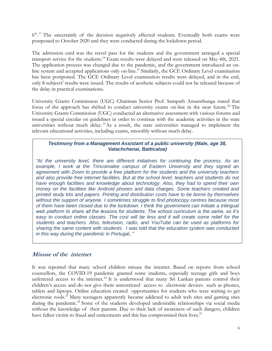6<sup>th 17</sup> The uncertainly of the decision negatively affected students. Eventually both exams were postponed to October 2020 and they were conducted during the lockdown period.

The admission card was the travel pass for the students and the government arranged a special transport service for the students.<sup>18</sup> Exam results were delayed and were released on May 4th, 2021. The application process was changed due to the pandemic, and the government introduced an online system and accepted applications only on-line. <sup>19</sup> Similarly, the GCE Ordinary Level examination has been postponed. The GCE Ordinary Level examination results were delayed, and in the end, only 8 subjects' results were issued. The results of aesthetic subjects could not be released because of the delay in practical examinations.

University Grants Commission (UGC) Chairman Senior Prof. Sampath Amarathunga stated that focus of the approach has shifted to conduct university exams on-line in the near future.<sup>20</sup> The University Grants Commission (UGC) conducted an alternative assessment with various forums and issued a special circular on guidelines in order to continue with the academic activities in the state universities without much delay.<sup>21</sup>As a result, the state universities managed to implement the relevant educational activities, including exams, smoothly without much delay.

#### *Testimony from a Management Assistant of a public university (Male, age 38, Valachchenai, Batticaloa)*

*"At the university level, there are different initiatives for continuing the process. As an*  example, I work at the Trincomalee campus of Eastern University and they signed an *agreement with Zoom to provide a free platform for the students and the university teachers and also provide free internet facilities. But at the school level, teachers and students do not have enough facilities and knowledge about technology. Also, they had to spend their own money on the facilities like Android phones and data charges. Some teachers created and printed study kits and papers. Printing and distribution costs have to be borne by themselves without the support of anyone. I sometimes struggle to find photocopy centres because most of them have been closed due to the lockdown. I think the government can initiate a trilingual web platform to share all the lessons for students. The school curriculum is the same, so it's*  easy to conduct online classes. The cost will be less and it will create some relief for the *students and teachers. Also, television, radio, and YouTube can be used as platforms for sharing the same content with students. I was told that the education system was conducted in this way during the pandemic in Portugal,."*

### **Misuse of the internet**

It was reported that many school children misuse the internet. Based on reports from school counsellors, the COVID-19 pandemic granted some students, especially teenage girls and boys unfettered access to the internet.<sup>22</sup> It is understood that many Sri Lankan parents control their children's access and do not give them unrestricted access to electronic devices such as phones, tablets and laptops. Online education created opportunities for students who were waiting to get electronic tools.<sup>23</sup> Many teenagers apparently became addicted to adult web sites and gaming sites during the pandemic.<sup>24</sup> Some of the students developed undesirable relationships via social media without the knowledge of their parents. Due to their lack of awareness of such dangers, children have fallen victim to fraud and enticements and this has compromised their lives.<sup>25</sup>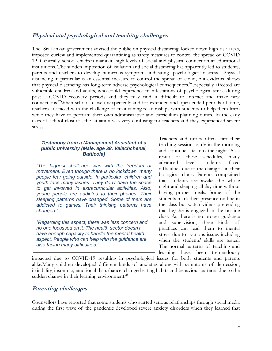### **Physical and psychological and teaching challenges**

The Sri Lankan government advised the public on physical distancing, locked down high risk areas, imposed curfew and implemented quarantining as safety measures to control the spread of COVID 19. Generally, school children maintain high levels of social and physical connection at educational institutions. The sudden imposition of isolation and social distancing has apparently led to students, parents and teachers to develop numerous symptoms indicating psychological distress. Physical distancing in particular is an essential measure to control the spread of covid, but evidence shows that physical distancing has long-term adverse psychological consequences.<sup>26</sup> Especially affected are vulnerable children and adults, who could experience manifestations of psychological stress during post - COVID recovery periods and they may find it difficult to interact and make new connections.<sup>27</sup>When schools close unexpectedly and for extended and open-ended periods of time, teachers are faced with the challenge of maintaining relationships with students to help them learn while they have to perform their own administrative and curriculum planning duties. In the early days of school closures, the situation was very confusing for teachers and they experienced severe stress.

#### *Testimony from a Management Assistant of a public university (Male, age 38, Valachchenai, Batticola)*

*"The biggest challenge was with the freedom of movement. Even though there is no lockdown, many people fear going outside. In particular, children and youth face many issues. They don't have the space to get involved in extracurricular activities. Also, young people are addicted to their phones. Their sleeping patterns have changed. Some of them are addicted to games. Their thinking patterns have changed."*

*"Regarding this aspect, there was less concern and no one focussed on it. The health sector doesn't have enough capacity to handle the mental health aspect. People who can help with the guidance are also facing many difficulties."*

Teachers and tutors often start their teaching sessions early in the morning and continue late into the night. As a result of these schedules, many advanced level students faced difficulties due to the changes in their biological clock. Parents complained that students are awake the whole night and sleeping all day time without having proper meals. Some of the students mark their presence on-line in the class but watch videos pretending that he/she is engaged in the on-line class. As there is no proper guidance and supervision, these kinds of practices can lead them to mental stress due to various issues including when the students' skills are tested. The normal patterns of teaching and learning have been tremendously

impacted due to COVID-19 resulting in psychological issues for both students and parents alike.Many children developed different kinds of anxieties along with symptoms of depression, irritability, insomnia, emotional disturbance, changed eating habits and behaviour patterns due to the sudden change in their learning environment.<sup>28</sup>

### **Parenting challenges**

Counsellors have reported that some students who started serious relationships through social media during the first wave of the pandemic developed severe anxiety disorders when they learned that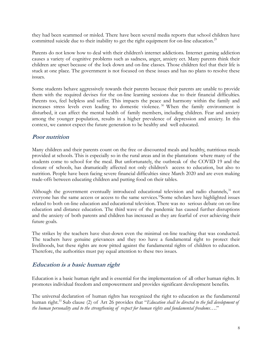they had been scammed or misled. There have been several media reports that school children have committed suicide due to their inability to get the right equipment for on-line education.<sup>29</sup>

Parents do not know how to deal with their children's internet addictions. Internet gaming addiction causes a variety of cognitive problems such as sadness, anger, anxiety ect. Many parents think their children are upset because of the lock down and on-line classes. Those children feel that their life is stuck at one place. The government is not focused on these issues and has no plans to resolve these issues.

Some students behave aggressively towards their parents because their parents are unable to provide them with the required devises for the on-line learning sessions due to their financial difficulties. Parents too, feel helpless and suffer. This impacts the peace and harmony within the family and increases stress levels even leading to domestic violence.<sup>30</sup> When the family environment is disturbed, it can affect the mental health of family members, including children. Fear and anxiety among the younger population, results in a higher prevalence of depression and anxiety. In this context, we cannot expect the future generation to be healthy and well educated.

### **Poor nutrition**

Many children and their parents count on the free or discounted meals and healthy, nutritious meals provided at schools. This is especially so in the rural areas and in the plantations where many of the students come to school for the meal. But unfortunately, the outbreak of the COVID 19 and the closure of schools, has dramatically affected not only children's access to education, but also to nutrition. People have been facing severe financial difficulties since March 2020 and are even making trade-offs between educating children and putting food on their tables.

Although the government eventually introduced educational television and radio channels,<sup>31</sup> not everyone has the same access or access to the same services.<sup>32</sup>Some scholars have highlighted issues related to both on-line education and educational television. There was no serious debate on on-line education and distance education. The third wave of the pandemic has caused further disruptions and the anxiety of both parents and children has increased as they are fearful of ever achieving their future goals.

The strikes by the teachers have shut-down even the minimal on-line teaching that was conducted. The teachers have genuine grievances and they too have a fundamental right to protect their livelihoods, but these rights are now pitted against the fundamental rights of children to education. Therefore, the authorities must pay equal attention to these two issues.

### **Education is a basic human right**

Education is a basic human right and is essential for the implementation of all other human rights. It promotes individual freedom and empowerment and provides significant development benefits.

The universal declaration of human rights has recognized the right to education as the fundamental human right.<sup>33</sup> Sub clause (2) of Art 26 provides that "*Education shall be directed to the full development of the human personality and to the strengthening of respect for human rights and fundamental freedoms*…."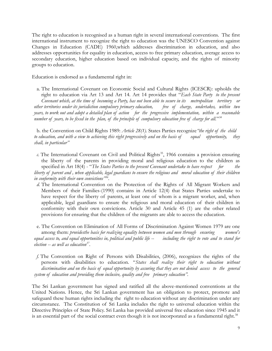The right to education is recognised as a human right in several international conventions. The first international instrument to recognize the right to education was the UNESCO Convention against Changes in Education (CADE) 1960,which addresses discrimination in education, and also addresses opportunities for equality in education, access to free primary education, average access to secondary education, higher education based on individual capacity, and the rights of minority groups to education.

Education is endorsed as a fundamental right in:

a. The International Covenant on Economic Social and Cultural Rights (ICESCR): upholds the right to education via Art 13 and Art 14. Art 14 provides that "*Each State Party to the present Covenant which, at the time of becoming a Party, has not been able to secure in its metropolitan territory or other territories under its jurisdiction compulsory primary education, free of charge, undertakes, within two years, to work out and adopt a detailed plan of action for the progressive implementation, within a reasonable number of years, to be fixed in the plan, of the principle of compulsory education free of charge for all.*" *34*

b. the Convention on Child Rights 1989: *Article 28(1).* States Parties recognize*"the right of the child to education, and with a view to achieving this right progressively and on the basis of equal opportunity, they shall, in particular"*

c. The International Covenant on Civil and Political Rights<sup>35</sup>, 1966 contains a provision ensuring the liberty of the parents in providing moral and religious education to the children as specified in Art 18(4) - "*The States Parties to the present Covenant undertake to have respect* for the *liberty of parent and , when applicable, legal guardians to ensure the religious and moral education of their children in conformity with their own convictions" 36 .*

*d.* The International Convention on the Protection of the Rights of All Migrant Workers and Members of their Families-(1990) contains in Article 12(4) that States Parties undertake to have respect for the liberty of parents, at least one of whom is a migrant worker, and, when applicable, legal guardians to ensure the religious and moral education of their children in conformity with their own convictions. Article 30 and Article 45 (1) are the other related provisions for ensuring that the children of the migrants are able to access the education.

e. The Convention on Elimination of All Forms of Discrimination Against Women 1979 are one among them: *providesthe basis for realizing equality between women and men through ensuring women's equal access to, and equal opportunities in, political and public life -- including the right to vote and to stand for election -- as well as education<sup>37</sup> .*

*f.* The Convention on Right of Persons with Disabilities, (2006), recognizes the rights of the persons with disabilities to education. "*States shall realize their right to education without discrimination and on the basis of equal opportunity by assuring that they are not denied access to the general system of education and providing them inclusive, quality and free primary education".* 

The Sri Lankan government has signed and ratified all the above-mentioned conventions at the United Nations. Hence, the Sri Lankan government has an obligation to protect, promote and safeguard these human rights including the right to education without any discrimination under any circumstance. The Constitution of Sri Lanka includes the right to universal education within the Directive Principles of State Policy. Sri Lanka has provided universal free education since 1945 and it is an essential part of the social contract even though it is not incorporated as a fundamental right.<sup>38</sup>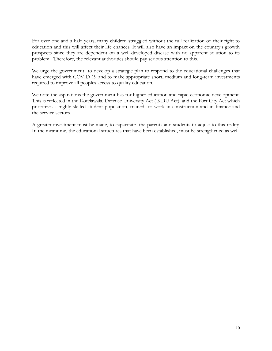For over one and a half years, many children struggled without the full realization of their right to education and this will affect their life chances. It will also have an impact on the country's growth prospects since they are dependent on a well-developed disease with no apparent solution to its problem.. Therefore, the relevant authorities should pay serious attention to this.

We urge the government to develop a strategic plan to respond to the educational challenges that have emerged with COVID 19 and to make appropriate short, medium and long-term investments required to improve all peoples access to quality education.

We note the aspirations the government has for higher education and rapid economic development. This is reflected in the Kotelawala, Defense University Act ( KDU Act), and the Port City Act which prioritizes a highly skilled student population, trained to work in construction and in finance and the service sectors.

A greater investment must be made, to capacitate the parents and students to adjust to this reality. In the meantime, the educational structures that have been established, must be strengthened as well.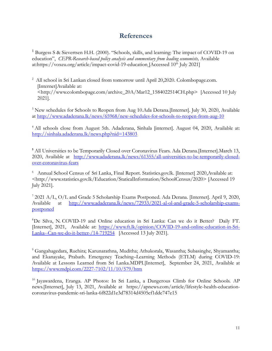## **References**

<sup>1</sup> Burgess S & Sievertsen H.H. (2000). "Schools, skills, and learning: The impact of COVID-19 on education", *CEPR-Research-based policy analysis and commentary from leading economists*, Available at[:https://voxeu.org/article/impact-covid-19-education](https://voxeu.org/article/impact-covid-19-education) [Accessed 10<sup>th</sup> July 2021]

<sup>2</sup> All school in Sri Lankan closed from tomorrow until April 20,2020. Colombopage.com. [Internet]Available at: <http://www.colombopage.com/archive\_20A/Mar12\_1584022514CH.php> [Accessed 10 July 2021].

<sup>3</sup> New schedules for Schools to Reopen from Aug 10.Ada Derana.[Internet]. July 30, 2020, Available at<http://www.adaderana.lk/news/65968/new-schedules-for-schools-to-reopen-from-aug-10>

<sup>4</sup> All schools close from August 5th. Adaderana, Sinhala [internet]. August 04, 2020, Available at: <http://sinhala.adaderana.lk/news.php?nid=143803>

<sup>5</sup> All Universities to be Temporarily Closed over Coronavirus Fears. Ada Derana. [Internet]. March 13, 2020, Available at [http://www.adaderana.lk/news/61355/all-universities-to-be-temporarily-closed](http://www.adaderana.lk/news/61355/all-universities-to-be-temporarily-closed-over-coronavirus-fears)[over-coronavirus-fears](http://www.adaderana.lk/news/61355/all-universities-to-be-temporarily-closed-over-coronavirus-fears)

<sup>6</sup> Annual School Census of Sri Lanka, Final Report. Statistics.gov.lk. [Internet] 2020, Available at: <http://www.statistics.gov.lk/Education/StaticalInformation/SchoolCensus/2020> [Accessed 19 July 2021].

<sup>7</sup> 2021 A/L, O/L and Grade 5 Scholarship Exams Postponed. Ada Derana. [Internet]. April 9, 2020, Available at [http://www.adaderana.lk/news/72933/2021-al-ol-and-grade-5-scholarship-exams](http://www.adaderana.lk/news/72933/2021-al-ol-and-grade-5-scholarship-exams-postponed)[postponed](http://www.adaderana.lk/news/72933/2021-al-ol-and-grade-5-scholarship-exams-postponed)

<sup>8</sup>De Silva, N. COVID-19 and Online education in Sri Lanka: Can we do it Better? Daily FT. [Internet], 2021, Available at: [https://www.ft.lk/opinion/COVID-19-and-online-education-in-Sri-](https://www.ft.lk/opinion/COVID-19-and-online-education-in-Sri-Lanka--Can-we-do-it-better-/14-719254)[Lanka--Can-we-do-it-better-/14-719254](https://www.ft.lk/opinion/COVID-19-and-online-education-in-Sri-Lanka--Can-we-do-it-better-/14-719254) [Accessed 13 July 2021].

<sup>9</sup> Gangahagedara, Ruchira; Karunarathna, Muditha; Athukorala, Wasantha; Subasinghe, Shyamantha; and Ekanayake, Prabath. Emergency Teaching–Learning Methods (ETLM) during COVID-19: Available at Lessons Learned from Sri Lanka.MDPI.[Internet], September 24, 2021, Available at <https://www.mdpi.com/2227-7102/11/10/579/htm>

<sup>10</sup> Jayawardena, Eranga. AP Photos: In Sri Lanka, a Dangerous Climb for Online Schools. AP news.[Internet], July 13, 2021, Available at https://apnews.com/article/lifestyle-health-educationcoronavirus-pandemic-sri-lanka-6f822d1e3d78314d4505cf1dde747e15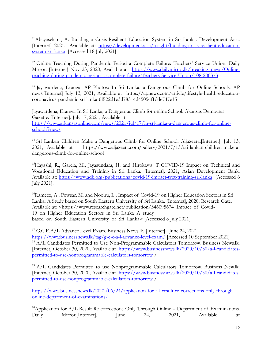<sup>11</sup>Abayasekara, A. Building a Crisis-Resilient Education System in Sri Lanka. Development Asia. [Internet] 2021. Available at: [https://development.asia/insight/building-crisis-resilient-education](https://development.asia/insight/building-crisis-resilient-education-system-sri-lanka)[system-sri-lanka](https://development.asia/insight/building-crisis-resilient-education-system-sri-lanka) [Accessed 18 July 2021]

<sup>12</sup> Online Teaching During Pandemic Period a Complete Failure: Teachers' Service Union. Daily Mirror. [Internet] Nov 23, 2020, Available at [https://www.dailymirror.lk/breaking\\_news/Online](https://www.dailymirror.lk/breaking_news/Online-teaching-during-pandemic-period-a-complete-failure-Teachers-Service-Union/108-200373)[teaching-during-pandemic-period-a-complete-failure-Teachers-Service-Union/108-200373](https://www.dailymirror.lk/breaking_news/Online-teaching-during-pandemic-period-a-complete-failure-Teachers-Service-Union/108-200373)

<sup>13</sup> Jayawardena, Eranga. AP Photos: In Sri Lanka, a Dangerous Climb for Online Schools. AP news.[Internet] July 13, 2021, Available at https://apnews.com/article/lifestyle-health-educationcoronavirus-pandemic-sri-lanka-6f822d1e3d78314d4505cf1dde747e15

Jayawardena, Eranga. In Sri Lanka, a Dangerous Climb for online School. Akansas Democrat Gazette. [Internet]. July 17, 2021, Available at [https://www.arkansasonline.com/news/2021/jul/17/in-sri-lanka-a-dangerous-climb-for-online](https://www.arkansasonline.com/news/2021/jul/17/in-sri-lanka-a-dangerous-climb-for-online-school/?news)[school/?news](https://www.arkansasonline.com/news/2021/jul/17/in-sri-lanka-a-dangerous-climb-for-online-school/?news)

<sup>14</sup> Sri Lankan Children Make a Dangerous Climb for Online School. Aljazeera.[Internet]. July 13, 2021, Available at https://www.aljazeera.com/gallery/2021/7/13/sri-lankan-children-make-adangerous-climb-for-online-school

<sup>15</sup>Hayashi, R., Garcia, M., Jayasundara, H. and Hirokawa, T. COVID-19 Impact on Technical and Vocational Education and Training in Sri Lanka. [Internet]. 2021, Asian Development Bank. Available at:<https://www.adb.org/publications/covid-19-impact-tvet-training-sri-lanka>[Accessed 6 July 2021].

<sup>16</sup>Rameez, A., Fowsar, M. and Noohu, L., Impact of Covid-19 on Higher Education Sectors in Sri Lanka: A Study based on South Eastern University of Sri Lanka. [Internet], 2020, Research Gate. Available at: <https://www.researchgate.net/publication/346095674\_Impact\_of\_Covid-19\_on\_Higher\_Education\_Sectors\_in\_Sri\_Lanka\_A\_study\_ based\_on\_South\_Eastern\_University\_of\_Sri\_Lanka> [Accessed 8 July 2021]

<sup>17</sup> G.C.E.A/L Advance Level Exam. Business News.lk. [Internet] June 24, 2021 <https://www.businessnews.lk/tag/g-c-e-a-l-advance-level-exam/> [Accessed 10 September 2021] <sup>18</sup> A/L Candidates Permitted to Use Non-Programmable Calculators Tomorrow. Business News.lk. [Internet] October 30, 2020, Available at [https://www.businessnews.lk/2020/10/30/a-l-candidates](https://www.businessnews.lk/2020/10/30/a-l-candidates-permitted-to-use-nonprogrammable-calculators-tomorrow)[permitted-to-use-nonprogrammable-calculators-tomorrow](https://www.businessnews.lk/2020/10/30/a-l-candidates-permitted-to-use-nonprogrammable-calculators-tomorrow) /

<sup>19</sup> A/L Candidates Permitted to use Nonprogrammable Calculators Tomorrow. Business New.lk. [Internet] October 30, 2020, Available at [https://www.businessnews.lk/2020/10/30/a-l-candidates](https://www.businessnews.lk/2020/10/30/a-l-candidates-permitted-to-use-nonprogrammable-calculators-tomorrow)[permitted-to-use-nonprogrammable-calculators-tomorrow](https://www.businessnews.lk/2020/10/30/a-l-candidates-permitted-to-use-nonprogrammable-calculators-tomorrow) /

[https://www.businessnews.lk/2021/06/24/application-for-a-l-result-re-corrections-only-through](https://www.businessnews.lk/2021/06/24/application-for-a-l-result-re-corrections-only-through-online-department-of-examinations/)[online-department-of-examinations/](https://www.businessnews.lk/2021/06/24/application-for-a-l-result-re-corrections-only-through-online-department-of-examinations/)

<sup>20</sup>Application for  $A/L$  Result Re-corrections Only Through Online – Department of Examinations. Daily Mirror.[Internet]. June 24, 2021, Available at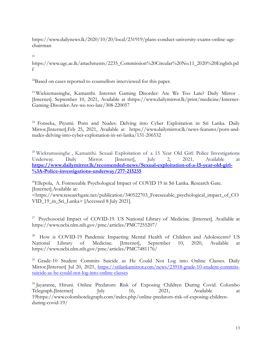https://www.dailynews.lk/2020/10/20/local/231919/plans-conduct-university-exams-online-ugcchairman

21

https://www.ugc.ac.lk/attachments/2235\_Commission%20Circular%20No.11\_2020%20English.pd f

<sup>22</sup>Based on cases reported to counsellors interviewed for this paper.

<sup>23</sup> Wickremasinghe, Kamanthi. Internet Gaming Disorder: Are We Too Late? Daily Mirror . [Internet]. September 10, 2021, Available at thttps://www.dailymirror.lk/print/medicine/Internet-Gaming-Disorder-Are-we-too-late/308-220057

<sup>24</sup> Fonseka, Piyumi. Porn and Nudes: Delving into Cyber Exploitation in Sri Lanka. Daily Mirror.[Internet].Feb 25, 2021, Available at https://www.dailymirror.lk/news-features/porn-andnudes-delving-into-cyber-exploitation-in-sri-lanka/131-206532

<sup>25</sup> Wickramasinghe, Kamanthi. Sexual Exploitation of a 15 Year Old Girl: Police Investigations Underway. Daily Mirror. [Internet], July 2, 2021, Available at **[https://www.dailymirror.lk/recomended-news/Sexual-exploitation-of-a-15-year-old-girl-](https://www.dailymirror.lk/recomended-news/Sexual-exploitation-of-a-15-year-old-girl-%3A-Police-investigations-underway/277-215235) [%3A-Police-investigations-underway/277-215235](https://www.dailymirror.lk/recomended-news/Sexual-exploitation-of-a-15-year-old-girl-%3A-Police-investigations-underway/277-215235)**

<sup>26</sup>Ellepola, A. Foreseeable Psychological Impact of COVID 19 in Sri Lanka. Research Gate. [Internet].Available at:

<https://www.researchgate.net/publication/340522703\_Foreseeable\_psychological\_impact\_of\_CO VID\_19\_in\_Sri\_Lanka> [Accessed 8 July 2021].

<sup>27</sup> Psychosocial Impact of COVID-19. US National Library of Medicine. [Internet]. Available at https://www.ncbi.nlm.nih.gov/pmc/articles/PMC7255207/

<sup>28</sup> How is COVID-19 Pandemic Impacting Mental Health of Children and Adolescents? US National Library of Medicine. [Internet], September 10, 2020, Available at https://www.ncbi.nlm.nih.gov/pmc/articles/PMC7481176/

<sup>29</sup> Grade-10 Student Commits Suicide as He Could Not Log into Online Classes. Daily Mirror.[Internet] Jul 20, 2021, [https://srilankamirror.com/news/23918-grade-10-student-commits](https://srilankamirror.com/news/23918-grade-10-student-commits-suicide-as-he-could-not-log-into-online-classes)[suicide-as-he-could-not-log-into-online-classes](https://srilankamirror.com/news/23918-grade-10-student-commits-suicide-as-he-could-not-log-into-online-classes)

<sup>30</sup> Jayaratne, Hiruni. Online Predators: Risk of Exposing Children During Covid. Colombo Telegraph.[Internet] July 16, 2021, Available at 19https://www.colombotelegraph.com/index.php/online-predators-risk-of-exposing-childrenduring-covid-19/